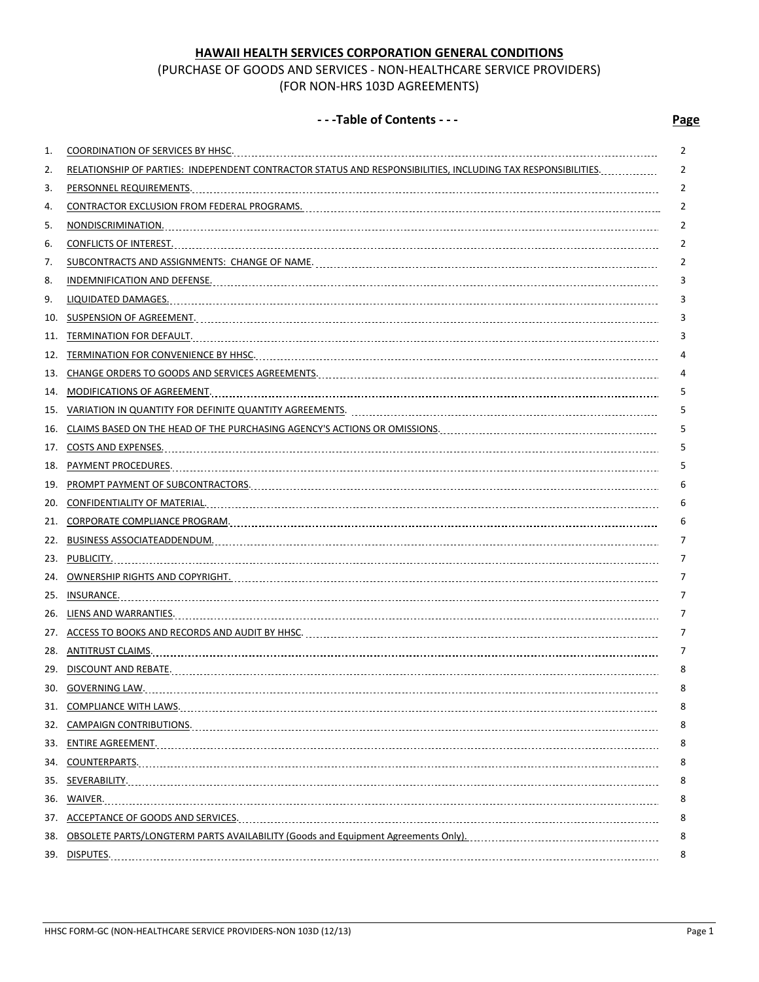# **HAWAII HEALTH SERVICES CORPORATION GENERAL CONDITIONS**

# (PURCHASE OF GOODS AND SERVICES - NON-HEALTHCARE SERVICE PROVIDERS) (FOR NON-HRS 103D AGREEMENTS)

# **- - -Table of Contents - - - Page**

| 1.  |                                                                                                                | 2 |
|-----|----------------------------------------------------------------------------------------------------------------|---|
| 2.  | RELATIONSHIP OF PARTIES: INDEPENDENT CONTRACTOR STATUS AND RESPONSIBILITIES, INCLUDING TAX RESPONSIBILITIES    | 2 |
| 3.  |                                                                                                                | 2 |
| 4.  | CONTRACTOR EXCLUSION FROM FEDERAL PROGRAMS. [111] [12] THE MALL CONTRACTOR EXCLUSION FROM FEDERAL PROGRAMS. [1 | 2 |
| 5.  |                                                                                                                | 2 |
| 6.  |                                                                                                                | 2 |
| 7.  |                                                                                                                | 2 |
| 8.  |                                                                                                                | 3 |
| 9.  | LIQUIDATED DAMAGES.                                                                                            | 3 |
| 10. |                                                                                                                | 3 |
| 11. |                                                                                                                | 3 |
| 12. | TERMINATION FOR CONVENIENCE BY HHSC. MARINEARD AND THE CONTROL CONTROL TERMINATION FOR CONVENIENCE.            | 4 |
| 13. |                                                                                                                | 4 |
| 14. |                                                                                                                | 5 |
| 15. |                                                                                                                | 5 |
| 16. |                                                                                                                | 5 |
| 17. | COSTS AND EXPENSES. Manual Contract Contract Contract Contract Contract Contract Contract Contract Contract Co | 5 |
| 18. |                                                                                                                | 5 |
| 19. |                                                                                                                | 6 |
| 20. |                                                                                                                | 6 |
| 21. |                                                                                                                | 6 |
| 22. |                                                                                                                | 7 |
|     |                                                                                                                | 7 |
|     | 24. OWNERSHIP RIGHTS AND COPYRIGHT. Management Control Corporation Communication Communication Communication   | 7 |
|     |                                                                                                                | 7 |
|     |                                                                                                                | 7 |
|     |                                                                                                                | 7 |
|     |                                                                                                                | 7 |
|     | 29. DISCOUNT AND REBATE. 1990 PERSONAL PRODUCTION CONTROL DE REGIONALE DE REGIONALE DE REGIONALE DE REGIONALE  | 8 |
|     | 30. GOVERNING LAW.                                                                                             | 8 |
|     |                                                                                                                | 8 |
|     |                                                                                                                | 8 |
|     |                                                                                                                | 8 |
|     |                                                                                                                | 8 |
|     |                                                                                                                | 8 |
|     |                                                                                                                | 8 |
|     |                                                                                                                | 8 |
|     |                                                                                                                | 8 |
|     |                                                                                                                | 8 |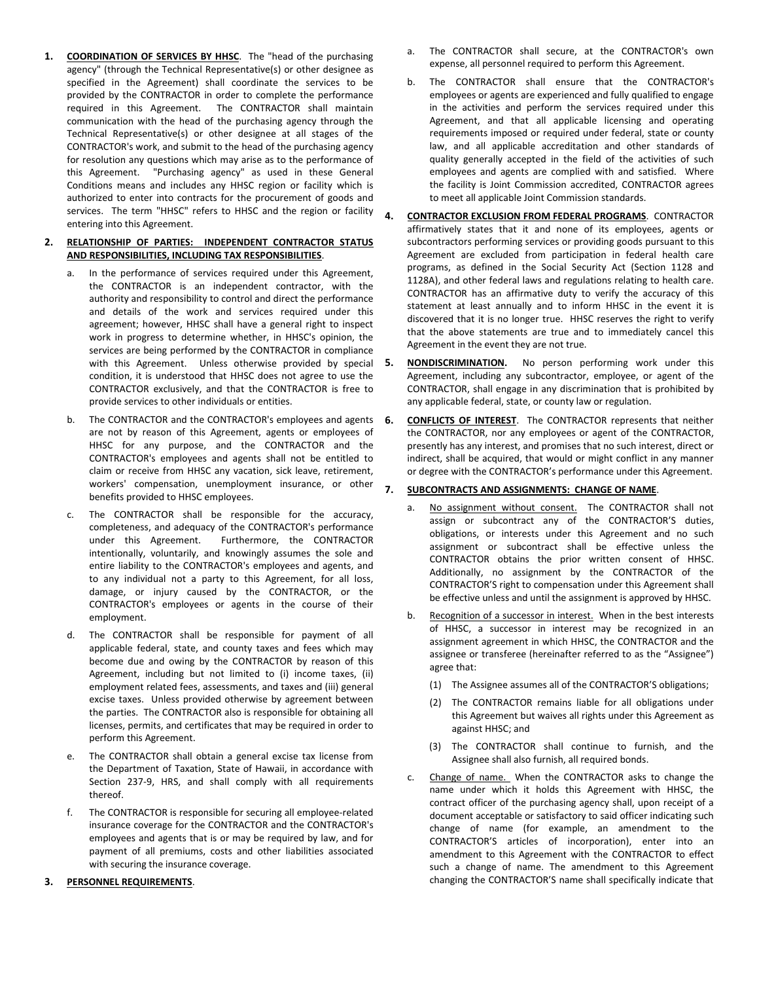**1. COORDINATION OF SERVICES BY HHSC**. The "head of the purchasing agency" (through the Technical Representative(s) or other designee as specified in the Agreement) shall coordinate the services to be provided by the CONTRACTOR in order to complete the performance required in this Agreement. The CONTRACTOR shall maintain communication with the head of the purchasing agency through the Technical Representative(s) or other designee at all stages of the CONTRACTOR's work, and submit to the head of the purchasing agency for resolution any questions which may arise as to the performance of this Agreement. "Purchasing agency" as used in these General Conditions means and includes any HHSC region or facility which is authorized to enter into contracts for the procurement of goods and services. The term "HHSC" refers to HHSC and the region or facility  $\boldsymbol{a}$ . entering into this Agreement.

#### **2. RELATIONSHIP OF PARTIES: INDEPENDENT CONTRACTOR STATUS AND RESPONSIBILITIES, INCLUDING TAX RESPONSIBILITIES**.

- a. In the performance of services required under this Agreement, the CONTRACTOR is an independent contractor, with the authority and responsibility to control and direct the performance and details of the work and services required under this agreement; however, HHSC shall have a general right to inspect work in progress to determine whether, in HHSC's opinion, the services are being performed by the CONTRACTOR in compliance with this Agreement. Unless otherwise provided by special 5. condition, it is understood that HHSC does not agree to use the CONTRACTOR exclusively, and that the CONTRACTOR is free to provide services to other individuals or entities.
- b. The CONTRACTOR and the CONTRACTOR's employees and agents are not by reason of this Agreement, agents or employees of HHSC for any purpose, and the CONTRACTOR and the CONTRACTOR's employees and agents shall not be entitled to claim or receive from HHSC any vacation, sick leave, retirement, workers' compensation, unemployment insurance, or other benefits provided to HHSC employees.
- c. The CONTRACTOR shall be responsible for the accuracy, completeness, and adequacy of the CONTRACTOR's performance under this Agreement. Furthermore, the CONTRACTOR intentionally, voluntarily, and knowingly assumes the sole and entire liability to the CONTRACTOR's employees and agents, and to any individual not a party to this Agreement, for all loss, damage, or injury caused by the CONTRACTOR, or the CONTRACTOR's employees or agents in the course of their employment.
- d. The CONTRACTOR shall be responsible for payment of all applicable federal, state, and county taxes and fees which may become due and owing by the CONTRACTOR by reason of this Agreement, including but not limited to (i) income taxes, (ii) employment related fees, assessments, and taxes and (iii) general excise taxes. Unless provided otherwise by agreement between the parties. The CONTRACTOR also is responsible for obtaining all licenses, permits, and certificates that may be required in order to perform this Agreement.
- e. The CONTRACTOR shall obtain a general excise tax license from the Department of Taxation, State of Hawaii, in accordance with Section 237-9, HRS, and shall comply with all requirements thereof.
- f. The CONTRACTOR is responsible for securing all employee-related insurance coverage for the CONTRACTOR and the CONTRACTOR's employees and agents that is or may be required by law, and for payment of all premiums, costs and other liabilities associated with securing the insurance coverage.

#### **3. PERSONNEL REQUIREMENTS**.

- The CONTRACTOR shall secure, at the CONTRACTOR's own expense, all personnel required to perform this Agreement.
- b. The CONTRACTOR shall ensure that the CONTRACTOR's employees or agents are experienced and fully qualified to engage in the activities and perform the services required under this Agreement, and that all applicable licensing and operating requirements imposed or required under federal, state or county law, and all applicable accreditation and other standards of quality generally accepted in the field of the activities of such employees and agents are complied with and satisfied. Where the facility is Joint Commission accredited, CONTRACTOR agrees to meet all applicable Joint Commission standards.
- **4. CONTRACTOR EXCLUSION FROM FEDERAL PROGRAMS**. CONTRACTOR affirmatively states that it and none of its employees, agents or subcontractors performing services or providing goods pursuant to this Agreement are excluded from participation in federal health care programs, as defined in the Social Security Act (Section 1128 and 1128A), and other federal laws and regulations relating to health care. CONTRACTOR has an affirmative duty to verify the accuracy of this statement at least annually and to inform HHSC in the event it is discovered that it is no longer true. HHSC reserves the right to verify that the above statements are true and to immediately cancel this Agreement in the event they are not true.
- **5. NONDISCRIMINATION.** No person performing work under this Agreement, including any subcontractor, employee, or agent of the CONTRACTOR, shall engage in any discrimination that is prohibited by any applicable federal, state, or county law or regulation.
- **6. CONFLICTS OF INTEREST**. The CONTRACTOR represents that neither the CONTRACTOR, nor any employees or agent of the CONTRACTOR, presently has any interest, and promises that no such interest, direct or indirect, shall be acquired, that would or might conflict in any manner or degree with the CONTRACTOR's performance under this Agreement.

## **7. SUBCONTRACTS AND ASSIGNMENTS: CHANGE OF NAME**.

- a. No assignment without consent. The CONTRACTOR shall not assign or subcontract any of the CONTRACTOR'S duties, obligations, or interests under this Agreement and no such assignment or subcontract shall be effective unless the CONTRACTOR obtains the prior written consent of HHSC. Additionally, no assignment by the CONTRACTOR of the CONTRACTOR'S right to compensation under this Agreement shall be effective unless and until the assignment is approved by HHSC.
- b. Recognition of a successor in interest. When in the best interests of HHSC, a successor in interest may be recognized in an assignment agreement in which HHSC, the CONTRACTOR and the assignee or transferee (hereinafter referred to as the "Assignee") agree that:
	- (1) The Assignee assumes all of the CONTRACTOR'S obligations;
	- (2) The CONTRACTOR remains liable for all obligations under this Agreement but waives all rights under this Agreement as against HHSC; and
	- (3) The CONTRACTOR shall continue to furnish, and the Assignee shall also furnish, all required bonds.
- c. Change of name. When the CONTRACTOR asks to change the name under which it holds this Agreement with HHSC, the contract officer of the purchasing agency shall, upon receipt of a document acceptable or satisfactory to said officer indicating such change of name (for example, an amendment to the CONTRACTOR'S articles of incorporation), enter into an amendment to this Agreement with the CONTRACTOR to effect such a change of name. The amendment to this Agreement changing the CONTRACTOR'S name shall specifically indicate that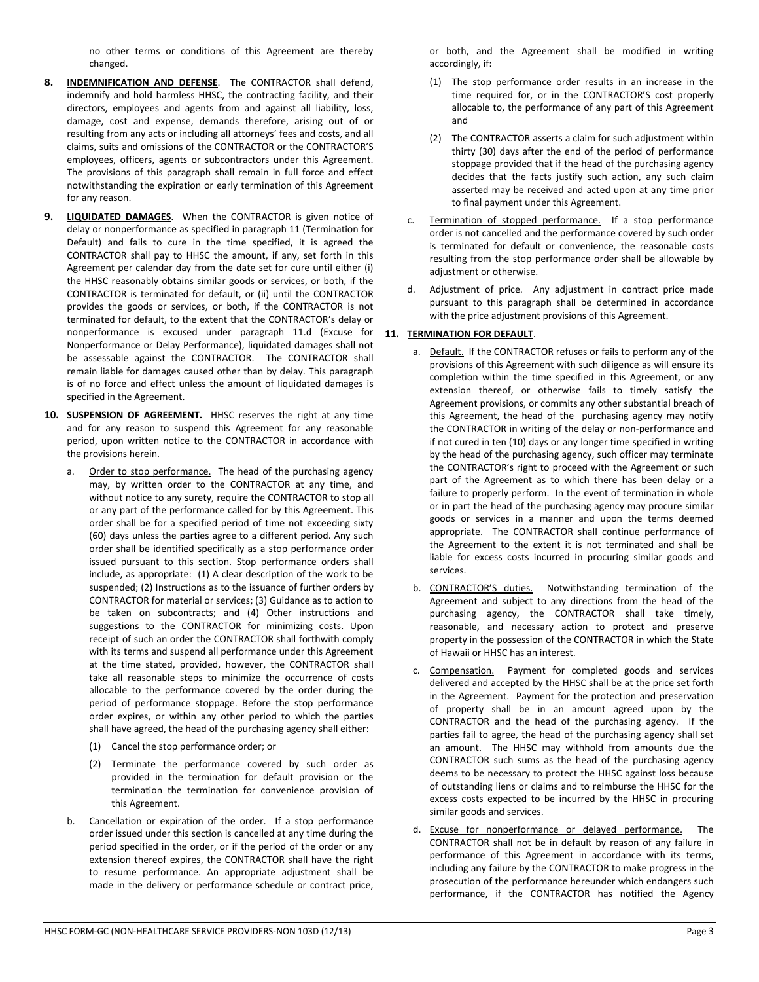no other terms or conditions of this Agreement are thereby changed.

- **8. INDEMNIFICATION AND DEFENSE**. The CONTRACTOR shall defend, indemnify and hold harmless HHSC, the contracting facility, and their directors, employees and agents from and against all liability, loss, damage, cost and expense, demands therefore, arising out of or resulting from any acts or including all attorneys' fees and costs, and all claims, suits and omissions of the CONTRACTOR or the CONTRACTOR'S employees, officers, agents or subcontractors under this Agreement. The provisions of this paragraph shall remain in full force and effect notwithstanding the expiration or early termination of this Agreement for any reason.
- **9. LIQUIDATED DAMAGES**. When the CONTRACTOR is given notice of delay or nonperformance as specified in paragraph 11 (Termination for Default) and fails to cure in the time specified, it is agreed the CONTRACTOR shall pay to HHSC the amount, if any, set forth in this Agreement per calendar day from the date set for cure until either (i) the HHSC reasonably obtains similar goods or services, or both, if the CONTRACTOR is terminated for default, or (ii) until the CONTRACTOR provides the goods or services, or both, if the CONTRACTOR is not terminated for default, to the extent that the CONTRACTOR's delay or nonperformance is excused under paragraph 11.d (Excuse for Nonperformance or Delay Performance), liquidated damages shall not be assessable against the CONTRACTOR. The CONTRACTOR shall remain liable for damages caused other than by delay. This paragraph is of no force and effect unless the amount of liquidated damages is specified in the Agreement.
- **10. SUSPENSION OF AGREEMENT.** HHSC reserves the right at any time and for any reason to suspend this Agreement for any reasonable period, upon written notice to the CONTRACTOR in accordance with the provisions herein.
	- a. Order to stop performance. The head of the purchasing agency may, by written order to the CONTRACTOR at any time, and without notice to any surety, require the CONTRACTOR to stop all or any part of the performance called for by this Agreement. This order shall be for a specified period of time not exceeding sixty (60) days unless the parties agree to a different period. Any such order shall be identified specifically as a stop performance order issued pursuant to this section. Stop performance orders shall include, as appropriate: (1) A clear description of the work to be suspended; (2) Instructions as to the issuance of further orders by CONTRACTOR for material or services; (3) Guidance as to action to be taken on subcontracts; and (4) Other instructions and suggestions to the CONTRACTOR for minimizing costs. Upon receipt of such an order the CONTRACTOR shall forthwith comply with its terms and suspend all performance under this Agreement at the time stated, provided, however, the CONTRACTOR shall take all reasonable steps to minimize the occurrence of costs allocable to the performance covered by the order during the period of performance stoppage. Before the stop performance order expires, or within any other period to which the parties shall have agreed, the head of the purchasing agency shall either:
		- (1) Cancel the stop performance order; or
		- (2) Terminate the performance covered by such order as provided in the termination for default provision or the termination the termination for convenience provision of this Agreement.
	- b. Cancellation or expiration of the order. If a stop performance order issued under this section is cancelled at any time during the period specified in the order, or if the period of the order or any extension thereof expires, the CONTRACTOR shall have the right to resume performance. An appropriate adjustment shall be made in the delivery or performance schedule or contract price,

or both, and the Agreement shall be modified in writing accordingly, if:

- (1) The stop performance order results in an increase in the time required for, or in the CONTRACTOR'S cost properly allocable to, the performance of any part of this Agreement and
- (2) The CONTRACTOR asserts a claim for such adjustment within thirty (30) days after the end of the period of performance stoppage provided that if the head of the purchasing agency decides that the facts justify such action, any such claim asserted may be received and acted upon at any time prior to final payment under this Agreement.
- c. Termination of stopped performance. If a stop performance order is not cancelled and the performance covered by such order is terminated for default or convenience, the reasonable costs resulting from the stop performance order shall be allowable by adjustment or otherwise.
- d. Adjustment of price. Any adjustment in contract price made pursuant to this paragraph shall be determined in accordance with the price adjustment provisions of this Agreement.

# **11. TERMINATION FOR DEFAULT**.

- a. Default. If the CONTRACTOR refuses or fails to perform any of the provisions of this Agreement with such diligence as will ensure its completion within the time specified in this Agreement, or any extension thereof, or otherwise fails to timely satisfy the Agreement provisions, or commits any other substantial breach of this Agreement, the head of the purchasing agency may notify the CONTRACTOR in writing of the delay or non-performance and if not cured in ten (10) days or any longer time specified in writing by the head of the purchasing agency, such officer may terminate the CONTRACTOR's right to proceed with the Agreement or such part of the Agreement as to which there has been delay or a failure to properly perform. In the event of termination in whole or in part the head of the purchasing agency may procure similar goods or services in a manner and upon the terms deemed appropriate. The CONTRACTOR shall continue performance of the Agreement to the extent it is not terminated and shall be liable for excess costs incurred in procuring similar goods and services.
- b. CONTRACTOR'S duties. Notwithstanding termination of the Agreement and subject to any directions from the head of the purchasing agency, the CONTRACTOR shall take timely, reasonable, and necessary action to protect and preserve property in the possession of the CONTRACTOR in which the State of Hawaii or HHSC has an interest.
- c. Compensation. Payment for completed goods and services delivered and accepted by the HHSC shall be at the price set forth in the Agreement. Payment for the protection and preservation of property shall be in an amount agreed upon by the CONTRACTOR and the head of the purchasing agency. If the parties fail to agree, the head of the purchasing agency shall set an amount. The HHSC may withhold from amounts due the CONTRACTOR such sums as the head of the purchasing agency deems to be necessary to protect the HHSC against loss because of outstanding liens or claims and to reimburse the HHSC for the excess costs expected to be incurred by the HHSC in procuring similar goods and services.
- d. Excuse for nonperformance or delayed performance. The CONTRACTOR shall not be in default by reason of any failure in performance of this Agreement in accordance with its terms, including any failure by the CONTRACTOR to make progress in the prosecution of the performance hereunder which endangers such performance, if the CONTRACTOR has notified the Agency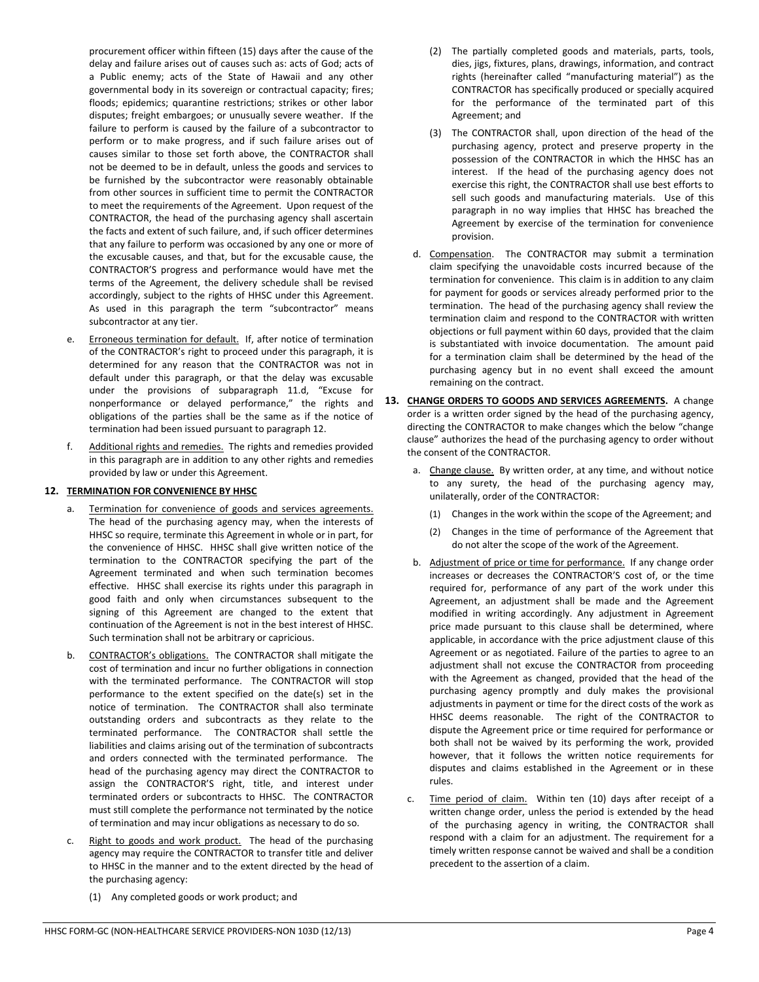procurement officer within fifteen (15) days after the cause of the delay and failure arises out of causes such as: acts of God; acts of a Public enemy; acts of the State of Hawaii and any other governmental body in its sovereign or contractual capacity; fires; floods; epidemics; quarantine restrictions; strikes or other labor disputes; freight embargoes; or unusually severe weather. If the failure to perform is caused by the failure of a subcontractor to perform or to make progress, and if such failure arises out of causes similar to those set forth above, the CONTRACTOR shall not be deemed to be in default, unless the goods and services to be furnished by the subcontractor were reasonably obtainable from other sources in sufficient time to permit the CONTRACTOR to meet the requirements of the Agreement. Upon request of the CONTRACTOR, the head of the purchasing agency shall ascertain the facts and extent of such failure, and, if such officer determines that any failure to perform was occasioned by any one or more of the excusable causes, and that, but for the excusable cause, the CONTRACTOR'S progress and performance would have met the terms of the Agreement, the delivery schedule shall be revised accordingly, subject to the rights of HHSC under this Agreement. As used in this paragraph the term "subcontractor" means subcontractor at any tier.

- Erroneous termination for default. If, after notice of termination of the CONTRACTOR's right to proceed under this paragraph, it is determined for any reason that the CONTRACTOR was not in default under this paragraph, or that the delay was excusable under the provisions of subparagraph 11.d, "Excuse for nonperformance or delayed performance," the rights and obligations of the parties shall be the same as if the notice of termination had been issued pursuant to paragraph 12.
- f. Additional rights and remedies. The rights and remedies provided in this paragraph are in addition to any other rights and remedies provided by law or under this Agreement.

# **12. TERMINATION FOR CONVENIENCE BY HHSC**

- a. Termination for convenience of goods and services agreements. The head of the purchasing agency may, when the interests of HHSC so require, terminate this Agreement in whole or in part, for the convenience of HHSC. HHSC shall give written notice of the termination to the CONTRACTOR specifying the part of the Agreement terminated and when such termination becomes effective. HHSC shall exercise its rights under this paragraph in good faith and only when circumstances subsequent to the signing of this Agreement are changed to the extent that continuation of the Agreement is not in the best interest of HHSC. Such termination shall not be arbitrary or capricious.
- b. CONTRACTOR's obligations. The CONTRACTOR shall mitigate the cost of termination and incur no further obligations in connection with the terminated performance. The CONTRACTOR will stop performance to the extent specified on the date(s) set in the notice of termination. The CONTRACTOR shall also terminate outstanding orders and subcontracts as they relate to the terminated performance. The CONTRACTOR shall settle the liabilities and claims arising out of the termination of subcontracts and orders connected with the terminated performance. The head of the purchasing agency may direct the CONTRACTOR to assign the CONTRACTOR'S right, title, and interest under terminated orders or subcontracts to HHSC. The CONTRACTOR must still complete the performance not terminated by the notice of termination and may incur obligations as necessary to do so.
- Right to goods and work product. The head of the purchasing agency may require the CONTRACTOR to transfer title and deliver to HHSC in the manner and to the extent directed by the head of the purchasing agency:
	- (1) Any completed goods or work product; and
- (2) The partially completed goods and materials, parts, tools, dies, jigs, fixtures, plans, drawings, information, and contract rights (hereinafter called "manufacturing material") as the CONTRACTOR has specifically produced or specially acquired for the performance of the terminated part of this Agreement; and
- (3) The CONTRACTOR shall, upon direction of the head of the purchasing agency, protect and preserve property in the possession of the CONTRACTOR in which the HHSC has an interest. If the head of the purchasing agency does not exercise this right, the CONTRACTOR shall use best efforts to sell such goods and manufacturing materials. Use of this paragraph in no way implies that HHSC has breached the Agreement by exercise of the termination for convenience provision.
- d. Compensation. The CONTRACTOR may submit a termination claim specifying the unavoidable costs incurred because of the termination for convenience. This claim is in addition to any claim for payment for goods or services already performed prior to the termination. The head of the purchasing agency shall review the termination claim and respond to the CONTRACTOR with written objections or full payment within 60 days, provided that the claim is substantiated with invoice documentation. The amount paid for a termination claim shall be determined by the head of the purchasing agency but in no event shall exceed the amount remaining on the contract.
- **13. CHANGE ORDERS TO GOODS AND SERVICES AGREEMENTS.** A change order is a written order signed by the head of the purchasing agency, directing the CONTRACTOR to make changes which the below "change clause" authorizes the head of the purchasing agency to order without the consent of the CONTRACTOR.
	- Change clause. By written order, at any time, and without notice to any surety, the head of the purchasing agency may, unilaterally, order of the CONTRACTOR:
		- (1) Changes in the work within the scope of the Agreement; and
		- (2) Changes in the time of performance of the Agreement that do not alter the scope of the work of the Agreement.
	- b. Adjustment of price or time for performance. If any change order increases or decreases the CONTRACTOR'S cost of, or the time required for, performance of any part of the work under this Agreement, an adjustment shall be made and the Agreement modified in writing accordingly. Any adjustment in Agreement price made pursuant to this clause shall be determined, where applicable, in accordance with the price adjustment clause of this Agreement or as negotiated. Failure of the parties to agree to an adjustment shall not excuse the CONTRACTOR from proceeding with the Agreement as changed, provided that the head of the purchasing agency promptly and duly makes the provisional adjustments in payment or time for the direct costs of the work as HHSC deems reasonable. The right of the CONTRACTOR to dispute the Agreement price or time required for performance or both shall not be waived by its performing the work, provided however, that it follows the written notice requirements for disputes and claims established in the Agreement or in these rules.
	- c. Time period of claim. Within ten (10) days after receipt of a written change order, unless the period is extended by the head of the purchasing agency in writing, the CONTRACTOR shall respond with a claim for an adjustment. The requirement for a timely written response cannot be waived and shall be a condition precedent to the assertion of a claim.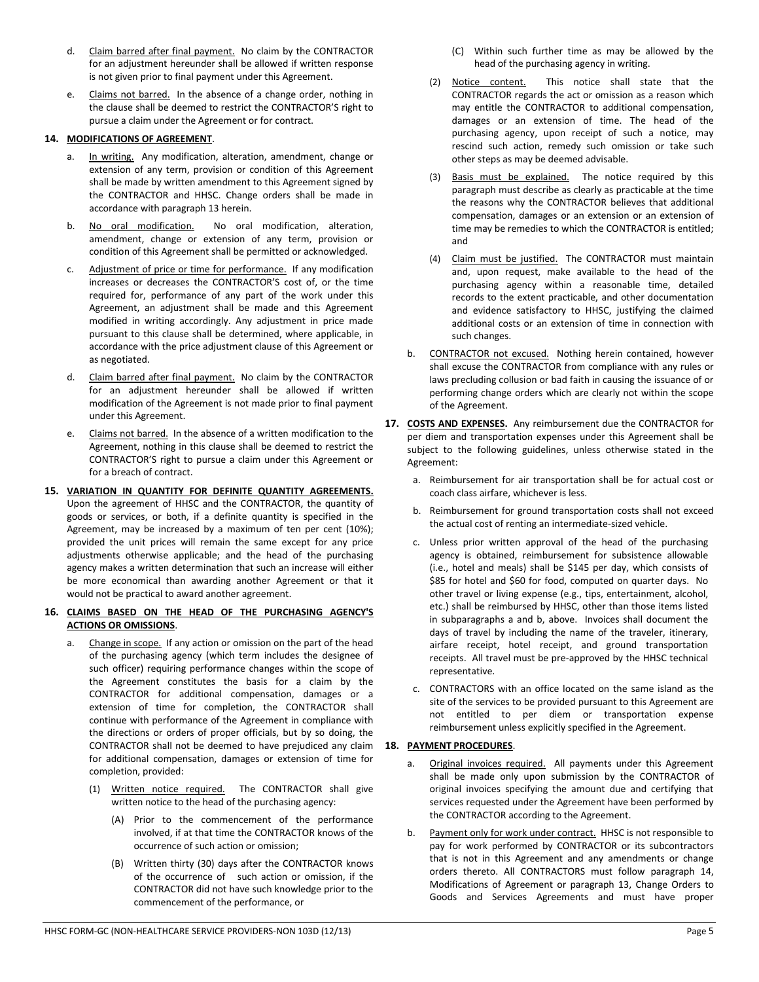- d. Claim barred after final payment. No claim by the CONTRACTOR for an adjustment hereunder shall be allowed if written response is not given prior to final payment under this Agreement.
- e. Claims not barred. In the absence of a change order, nothing in the clause shall be deemed to restrict the CONTRACTOR'S right to pursue a claim under the Agreement or for contract.

# **14. MODIFICATIONS OF AGREEMENT**.

- a. In writing. Any modification, alteration, amendment, change or extension of any term, provision or condition of this Agreement shall be made by written amendment to this Agreement signed by the CONTRACTOR and HHSC. Change orders shall be made in accordance with paragraph 13 herein.
- b. No oral modification. No oral modification, alteration, amendment, change or extension of any term, provision or condition of this Agreement shall be permitted or acknowledged.
- c. Adjustment of price or time for performance. If any modification increases or decreases the CONTRACTOR'S cost of, or the time required for, performance of any part of the work under this Agreement, an adjustment shall be made and this Agreement modified in writing accordingly. Any adjustment in price made pursuant to this clause shall be determined, where applicable, in accordance with the price adjustment clause of this Agreement or as negotiated.
- d. Claim barred after final payment. No claim by the CONTRACTOR for an adjustment hereunder shall be allowed if written modification of the Agreement is not made prior to final payment under this Agreement.
- e. Claims not barred. In the absence of a written modification to the Agreement, nothing in this clause shall be deemed to restrict the CONTRACTOR'S right to pursue a claim under this Agreement or for a breach of contract.
- **15. VARIATION IN QUANTITY FOR DEFINITE QUANTITY AGREEMENTS.**  Upon the agreement of HHSC and the CONTRACTOR, the quantity of goods or services, or both, if a definite quantity is specified in the Agreement, may be increased by a maximum of ten per cent (10%); provided the unit prices will remain the same except for any price adjustments otherwise applicable; and the head of the purchasing agency makes a written determination that such an increase will either be more economical than awarding another Agreement or that it would not be practical to award another agreement.

## **16. CLAIMS BASED ON THE HEAD OF THE PURCHASING AGENCY'S ACTIONS OR OMISSIONS**.

- a. Change in scope. If any action or omission on the part of the head of the purchasing agency (which term includes the designee of such officer) requiring performance changes within the scope of the Agreement constitutes the basis for a claim by the CONTRACTOR for additional compensation, damages or a extension of time for completion, the CONTRACTOR shall continue with performance of the Agreement in compliance with the directions or orders of proper officials, but by so doing, the CONTRACTOR shall not be deemed to have prejudiced any claim for additional compensation, damages or extension of time for completion, provided:
	- (1) Written notice required. The CONTRACTOR shall give written notice to the head of the purchasing agency:
		- (A) Prior to the commencement of the performance involved, if at that time the CONTRACTOR knows of the occurrence of such action or omission;
		- (B) Written thirty (30) days after the CONTRACTOR knows of the occurrence of such action or omission, if the CONTRACTOR did not have such knowledge prior to the commencement of the performance, or
- (C) Within such further time as may be allowed by the head of the purchasing agency in writing.
- (2) Notice content. This notice shall state that the CONTRACTOR regards the act or omission as a reason which may entitle the CONTRACTOR to additional compensation, damages or an extension of time. The head of the purchasing agency, upon receipt of such a notice, may rescind such action, remedy such omission or take such other steps as may be deemed advisable.
- (3) Basis must be explained. The notice required by this paragraph must describe as clearly as practicable at the time the reasons why the CONTRACTOR believes that additional compensation, damages or an extension or an extension of time may be remedies to which the CONTRACTOR is entitled; and
- (4) Claim must be justified. The CONTRACTOR must maintain and, upon request, make available to the head of the purchasing agency within a reasonable time, detailed records to the extent practicable, and other documentation and evidence satisfactory to HHSC, justifying the claimed additional costs or an extension of time in connection with such changes.
- b. CONTRACTOR not excused. Nothing herein contained, however shall excuse the CONTRACTOR from compliance with any rules or laws precluding collusion or bad faith in causing the issuance of or performing change orders which are clearly not within the scope of the Agreement.
- **17. COSTS AND EXPENSES.** Any reimbursement due the CONTRACTOR for per diem and transportation expenses under this Agreement shall be subject to the following guidelines, unless otherwise stated in the Agreement:
	- a. Reimbursement for air transportation shall be for actual cost or coach class airfare, whichever is less.
	- b. Reimbursement for ground transportation costs shall not exceed the actual cost of renting an intermediate-sized vehicle.
	- c. Unless prior written approval of the head of the purchasing agency is obtained, reimbursement for subsistence allowable (i.e., hotel and meals) shall be \$145 per day, which consists of \$85 for hotel and \$60 for food, computed on quarter days. No other travel or living expense (e.g., tips, entertainment, alcohol, etc.) shall be reimbursed by HHSC, other than those items listed in subparagraphs a and b, above. Invoices shall document the days of travel by including the name of the traveler, itinerary, airfare receipt, hotel receipt, and ground transportation receipts. All travel must be pre-approved by the HHSC technical representative.
	- c. CONTRACTORS with an office located on the same island as the site of the services to be provided pursuant to this Agreement are not entitled to per diem or transportation expense reimbursement unless explicitly specified in the Agreement.

# **18. PAYMENT PROCEDURES**.

- a. Original invoices required. All payments under this Agreement shall be made only upon submission by the CONTRACTOR of original invoices specifying the amount due and certifying that services requested under the Agreement have been performed by the CONTRACTOR according to the Agreement.
- b. Payment only for work under contract. HHSC is not responsible to pay for work performed by CONTRACTOR or its subcontractors that is not in this Agreement and any amendments or change orders thereto. All CONTRACTORS must follow paragraph 14, Modifications of Agreement or paragraph 13, Change Orders to Goods and Services Agreements and must have proper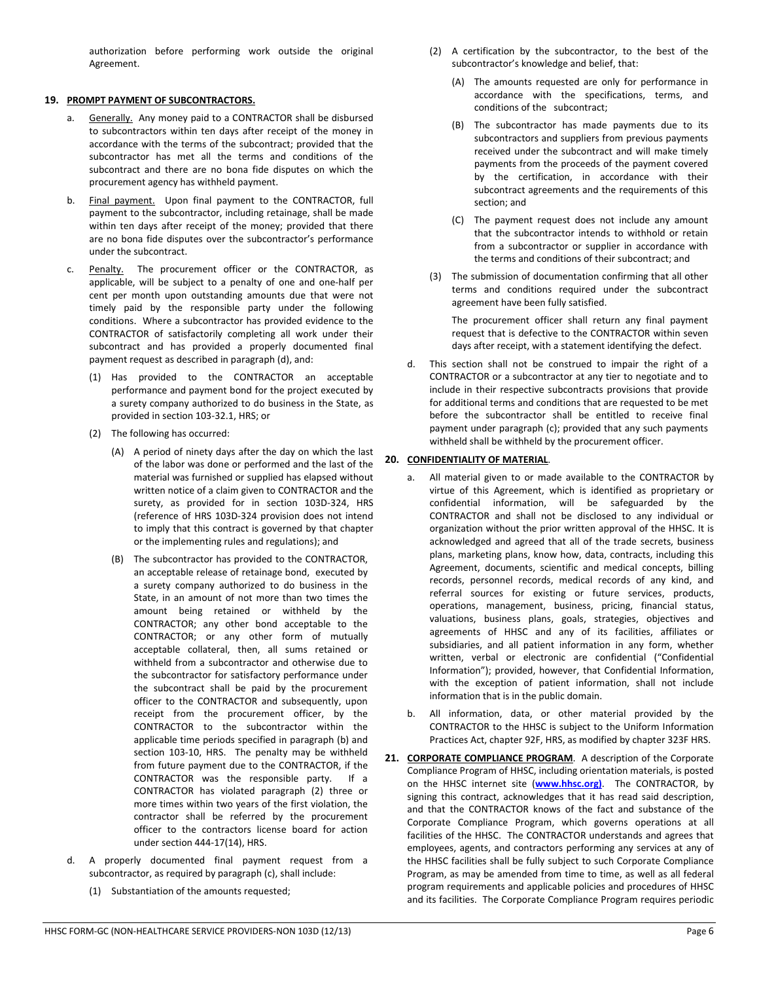#### **19. PROMPT PAYMENT OF SUBCONTRACTORS.**

- a. Generally. Any money paid to a CONTRACTOR shall be disbursed to subcontractors within ten days after receipt of the money in accordance with the terms of the subcontract; provided that the subcontractor has met all the terms and conditions of the subcontract and there are no bona fide disputes on which the procurement agency has withheld payment.
- b. Final payment. Upon final payment to the CONTRACTOR, full payment to the subcontractor, including retainage, shall be made within ten days after receipt of the money; provided that there are no bona fide disputes over the subcontractor's performance under the subcontract.
- c. Penalty. The procurement officer or the CONTRACTOR, as applicable, will be subject to a penalty of one and one-half per cent per month upon outstanding amounts due that were not timely paid by the responsible party under the following conditions. Where a subcontractor has provided evidence to the CONTRACTOR of satisfactorily completing all work under their subcontract and has provided a properly documented final payment request as described in paragraph (d), and:
	- (1) Has provided to the CONTRACTOR an acceptable performance and payment bond for the project executed by a surety company authorized to do business in the State, as provided in section 103-32.1, HRS; or
	- (2) The following has occurred:
		- (A) A period of ninety days after the day on which the last of the labor was done or performed and the last of the material was furnished or supplied has elapsed without written notice of a claim given to CONTRACTOR and the surety, as provided for in section 103D-324, HRS (reference of HRS 103D-324 provision does not intend to imply that this contract is governed by that chapter or the implementing rules and regulations); and
		- (B) The subcontractor has provided to the CONTRACTOR, an acceptable release of retainage bond, executed by a surety company authorized to do business in the State, in an amount of not more than two times the amount being retained or withheld by the CONTRACTOR; any other bond acceptable to the CONTRACTOR; or any other form of mutually acceptable collateral, then, all sums retained or withheld from a subcontractor and otherwise due to the subcontractor for satisfactory performance under the subcontract shall be paid by the procurement officer to the CONTRACTOR and subsequently, upon receipt from the procurement officer, by the CONTRACTOR to the subcontractor within the applicable time periods specified in paragraph (b) and section 103-10, HRS. The penalty may be withheld from future payment due to the CONTRACTOR, if the CONTRACTOR was the responsible party. If a CONTRACTOR has violated paragraph (2) three or more times within two years of the first violation, the contractor shall be referred by the procurement officer to the contractors license board for action under section 444-17(14), HRS.
- d. A properly documented final payment request from a subcontractor, as required by paragraph (c), shall include:
	- (1) Substantiation of the amounts requested;
- (2) A certification by the subcontractor, to the best of the subcontractor's knowledge and belief, that:
	- (A) The amounts requested are only for performance in accordance with the specifications, terms, and conditions of the subcontract;
	- (B) The subcontractor has made payments due to its subcontractors and suppliers from previous payments received under the subcontract and will make timely payments from the proceeds of the payment covered by the certification, in accordance with their subcontract agreements and the requirements of this section; and
	- (C) The payment request does not include any amount that the subcontractor intends to withhold or retain from a subcontractor or supplier in accordance with the terms and conditions of their subcontract; and
- (3) The submission of documentation confirming that all other terms and conditions required under the subcontract agreement have been fully satisfied.

The procurement officer shall return any final payment request that is defective to the CONTRACTOR within seven days after receipt, with a statement identifying the defect.

d. This section shall not be construed to impair the right of a CONTRACTOR or a subcontractor at any tier to negotiate and to include in their respective subcontracts provisions that provide for additional terms and conditions that are requested to be met before the subcontractor shall be entitled to receive final payment under paragraph (c); provided that any such payments withheld shall be withheld by the procurement officer.

## **20. CONFIDENTIALITY OF MATERIAL**.

- a. All material given to or made available to the CONTRACTOR by virtue of this Agreement, which is identified as proprietary or confidential information, will be safeguarded by the CONTRACTOR and shall not be disclosed to any individual or organization without the prior written approval of the HHSC. It is acknowledged and agreed that all of the trade secrets, business plans, marketing plans, know how, data, contracts, including this Agreement, documents, scientific and medical concepts, billing records, personnel records, medical records of any kind, and referral sources for existing or future services, products, operations, management, business, pricing, financial status, valuations, business plans, goals, strategies, objectives and agreements of HHSC and any of its facilities, affiliates or subsidiaries, and all patient information in any form, whether written, verbal or electronic are confidential ("Confidential Information"); provided, however, that Confidential Information, with the exception of patient information, shall not include information that is in the public domain.
- b. All information, data, or other material provided by the CONTRACTOR to the HHSC is subject to the Uniform Information Practices Act, chapter 92F, HRS, as modified by chapter 323F HRS.
- **21. CORPORATE COMPLIANCE PROGRAM**. A description of the Corporate Compliance Program of HHSC, including orientation materials, is posted on the HHSC internet site (**www.hhsc.org)**. The CONTRACTOR, by signing this contract, acknowledges that it has read said description, and that the CONTRACTOR knows of the fact and substance of the Corporate Compliance Program, which governs operations at all facilities of the HHSC. The CONTRACTOR understands and agrees that employees, agents, and contractors performing any services at any of the HHSC facilities shall be fully subject to such Corporate Compliance Program, as may be amended from time to time, as well as all federal program requirements and applicable policies and procedures of HHSC and its facilities. The Corporate Compliance Program requires periodic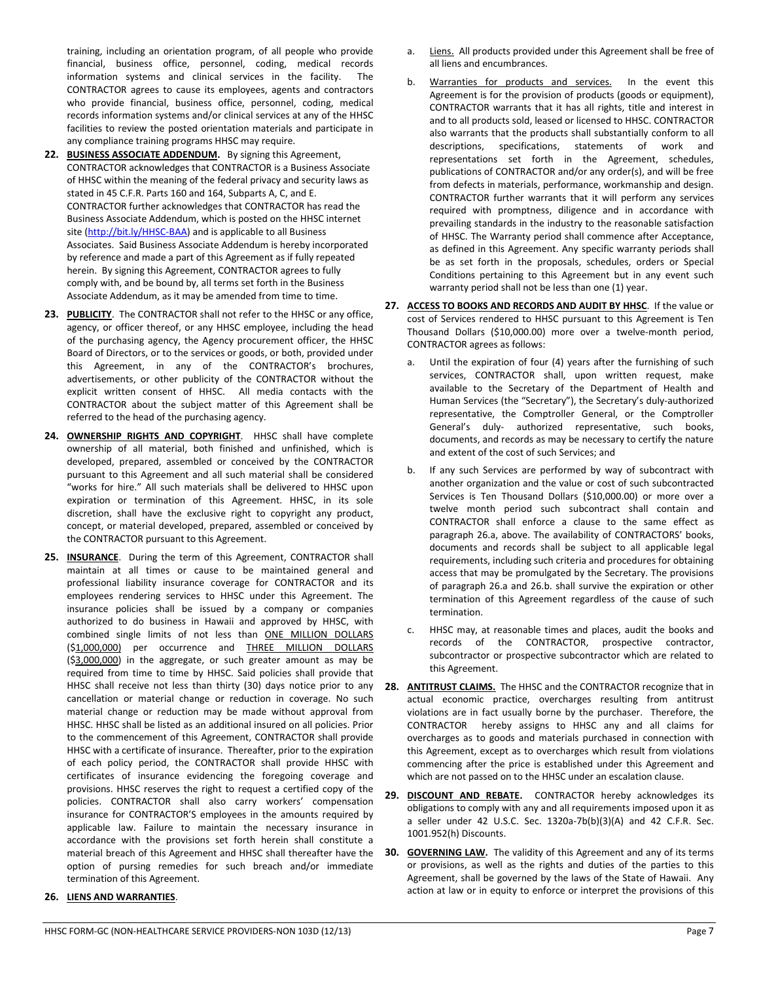training, including an orientation program, of all people who provide financial, business office, personnel, coding, medical records information systems and clinical services in the facility. The CONTRACTOR agrees to cause its employees, agents and contractors who provide financial, business office, personnel, coding, medical records information systems and/or clinical services at any of the HHSC facilities to review the posted orientation materials and participate in any compliance training programs HHSC may require.

- **22. BUSINESS ASSOCIATE ADDENDUM.** By signing this Agreement, CONTRACTOR acknowledges that CONTRACTOR is a Business Associate of HHSC within the meaning of the federal privacy and security laws as stated in 45 C.F.R. Parts 160 and 164, Subparts A, C, and E. CONTRACTOR further acknowledges that CONTRACTOR has read the Business Associate Addendum, which is posted on the HHSC internet site (http://bit.ly/HHSC-BAA) and is applicable to all Business Associates. Said Business Associate Addendum is hereby incorporated by reference and made a part of this Agreement as if fully repeated herein. By signing this Agreement, CONTRACTOR agrees to fully comply with, and be bound by, all terms set forth in the Business Associate Addendum, as it may be amended from time to time.
- **23. PUBLICITY**. The CONTRACTOR shall not refer to the HHSC or any office, agency, or officer thereof, or any HHSC employee, including the head of the purchasing agency, the Agency procurement officer, the HHSC Board of Directors, or to the services or goods, or both, provided under this Agreement, in any of the CONTRACTOR's brochures, advertisements, or other publicity of the CONTRACTOR without the explicit written consent of HHSC. All media contacts with the CONTRACTOR about the subject matter of this Agreement shall be referred to the head of the purchasing agency.
- **24. OWNERSHIP RIGHTS AND COPYRIGHT**. HHSC shall have complete ownership of all material, both finished and unfinished, which is developed, prepared, assembled or conceived by the CONTRACTOR pursuant to this Agreement and all such material shall be considered "works for hire." All such materials shall be delivered to HHSC upon expiration or termination of this Agreement. HHSC, in its sole discretion, shall have the exclusive right to copyright any product, concept, or material developed, prepared, assembled or conceived by the CONTRACTOR pursuant to this Agreement.
- **25. INSURANCE**. During the term of this Agreement, CONTRACTOR shall maintain at all times or cause to be maintained general and professional liability insurance coverage for CONTRACTOR and its employees rendering services to HHSC under this Agreement. The insurance policies shall be issued by a company or companies authorized to do business in Hawaii and approved by HHSC, with combined single limits of not less than ONE MILLION DOLLARS (\$1,000,000) per occurrence and THREE MILLION DOLLARS (\$3,000,000) in the aggregate, or such greater amount as may be required from time to time by HHSC. Said policies shall provide that HHSC shall receive not less than thirty (30) days notice prior to any cancellation or material change or reduction in coverage. No such material change or reduction may be made without approval from HHSC. HHSC shall be listed as an additional insured on all policies. Prior to the commencement of this Agreement, CONTRACTOR shall provide HHSC with a certificate of insurance. Thereafter, prior to the expiration of each policy period, the CONTRACTOR shall provide HHSC with certificates of insurance evidencing the foregoing coverage and provisions. HHSC reserves the right to request a certified copy of the policies. CONTRACTOR shall also carry workers' compensation insurance for CONTRACTOR'S employees in the amounts required by applicable law. Failure to maintain the necessary insurance in accordance with the provisions set forth herein shall constitute a material breach of this Agreement and HHSC shall thereafter have the option of pursing remedies for such breach and/or immediate termination of this Agreement.

## **26. LIENS AND WARRANTIES**.

- Liens. All products provided under this Agreement shall be free of all liens and encumbrances.
- b. Warranties for products and services. In the event this Agreement is for the provision of products (goods or equipment), CONTRACTOR warrants that it has all rights, title and interest in and to all products sold, leased or licensed to HHSC. CONTRACTOR also warrants that the products shall substantially conform to all descriptions, specifications, statements of work and representations set forth in the Agreement, schedules, publications of CONTRACTOR and/or any order(s), and will be free from defects in materials, performance, workmanship and design. CONTRACTOR further warrants that it will perform any services required with promptness, diligence and in accordance with prevailing standards in the industry to the reasonable satisfaction of HHSC. The Warranty period shall commence after Acceptance, as defined in this Agreement. Any specific warranty periods shall be as set forth in the proposals, schedules, orders or Special Conditions pertaining to this Agreement but in any event such warranty period shall not be less than one (1) year.
- **27. ACCESS TO BOOKS AND RECORDS AND AUDIT BY HHSC**. If the value or cost of Services rendered to HHSC pursuant to this Agreement is Ten Thousand Dollars (\$10,000.00) more over a twelve-month period, CONTRACTOR agrees as follows:
	- a. Until the expiration of four (4) years after the furnishing of such services, CONTRACTOR shall, upon written request, make available to the Secretary of the Department of Health and Human Services (the "Secretary"), the Secretary's duly-authorized representative, the Comptroller General, or the Comptroller General's duly- authorized representative, such books, documents, and records as may be necessary to certify the nature and extent of the cost of such Services; and
	- b. If any such Services are performed by way of subcontract with another organization and the value or cost of such subcontracted Services is Ten Thousand Dollars (\$10,000.00) or more over a twelve month period such subcontract shall contain and CONTRACTOR shall enforce a clause to the same effect as paragraph 26.a, above. The availability of CONTRACTORS' books, documents and records shall be subject to all applicable legal requirements, including such criteria and procedures for obtaining access that may be promulgated by the Secretary. The provisions of paragraph 26.a and 26.b. shall survive the expiration or other termination of this Agreement regardless of the cause of such termination.
	- c. HHSC may, at reasonable times and places, audit the books and records of the CONTRACTOR, prospective contractor, subcontractor or prospective subcontractor which are related to this Agreement.
- **28. ANTITRUST CLAIMS.** The HHSC and the CONTRACTOR recognize that in actual economic practice, overcharges resulting from antitrust violations are in fact usually borne by the purchaser. Therefore, the CONTRACTOR hereby assigns to HHSC any and all claims for overcharges as to goods and materials purchased in connection with this Agreement, except as to overcharges which result from violations commencing after the price is established under this Agreement and which are not passed on to the HHSC under an escalation clause.
- **29. DISCOUNT AND REBATE.** CONTRACTOR hereby acknowledges its obligations to comply with any and all requirements imposed upon it as a seller under 42 U.S.C. Sec. 1320a-7b(b)(3)(A) and 42 C.F.R. Sec. 1001.952(h) Discounts.
- **30. GOVERNING LAW.** The validity of this Agreement and any of its terms or provisions, as well as the rights and duties of the parties to this Agreement, shall be governed by the laws of the State of Hawaii. Any action at law or in equity to enforce or interpret the provisions of this